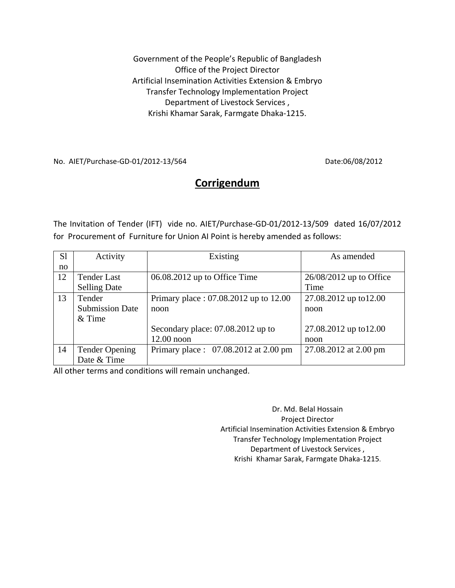Government of the People's Republic of Bangladesh Office of the Project Director Artificial Insemination Activities Extension & Embryo Transfer Technology Implementation Project Department of Livestock Services , Krishi Khamar Sarak, Farmgate Dhaka‐1215.

No. AIET/Purchase‐GD‐01/2012‐13/564 Date:06/08/2012

## **Corrigendum**

The Invitation of Tender (IFT) vide no. AIET/Purchase‐GD‐01/2012‐13/509 dated 16/07/2012 for Procurement of Furniture for Union AI Point is hereby amended as follows:

| S <sub>1</sub> | Activity               | Existing                              | As amended                |
|----------------|------------------------|---------------------------------------|---------------------------|
| no             |                        |                                       |                           |
| 12             | <b>Tender Last</b>     | 06.08.2012 up to Office Time          | $26/08/2012$ up to Office |
|                | <b>Selling Date</b>    |                                       | Time                      |
| 13             | Tender                 | Primary place: 07.08.2012 up to 12.00 | 27.08.2012 up to 12.00    |
|                | <b>Submission Date</b> | noon                                  | noon                      |
|                | $&$ Time               |                                       |                           |
|                |                        | Secondary place: 07.08.2012 up to     | 27.08.2012 up to 12.00    |
|                |                        | $12.00$ noon                          | noon                      |
| 14             | <b>Tender Opening</b>  | Primary place: 07.08.2012 at 2.00 pm  | 27.08.2012 at 2.00 pm     |
|                | Date & Time            |                                       |                           |

All other terms and conditions will remain unchanged.

Dr. Md. Belal Hossain Project Director Artificial Insemination Activities Extension & Embryo Transfer Technology Implementation Project Department of Livestock Services , Krishi Khamar Sarak, Farmgate Dhaka‐1215.